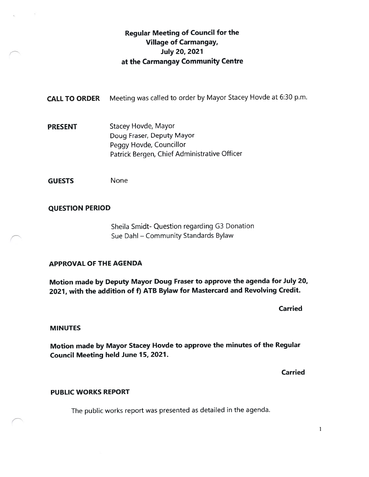# Regular Meeting of Council for the Village of Carmangay, July 20, 2021 at the Carmangay Community Centre

CALL TO ORDER Meeting was called to order by Mayor Stacey Hovde at 6:30 p.m.

**PRESENT** Stacey Hovde, Mayor Doug Fraser, Deputy Mayor Peggy Hovde, Councillor Patrick Bergen, Chief Administrative Officer

GUESTS None

# QUESTION PERIOD

Sheila Smidt- Question regarding G3 Donation Sue Dahi — Community Standards Bylaw

### APPROVAL OF THE AGENDA

Motion made by Deputy Mayor Doug Fraser to approve the agenda for July 20, 2021, with the addition of f) ATB Bylaw for Mastercard and Revolving Credit.

Carried

#### **MINUTES**

Motion made by Mayor Stacey Hovde to approve the minutes of the Regular Council Meeting held June 15, 2021.

Carried

#### PUBLIC WORKS REPORT

The public works repor<sup>t</sup> was presented as detailed in the agenda.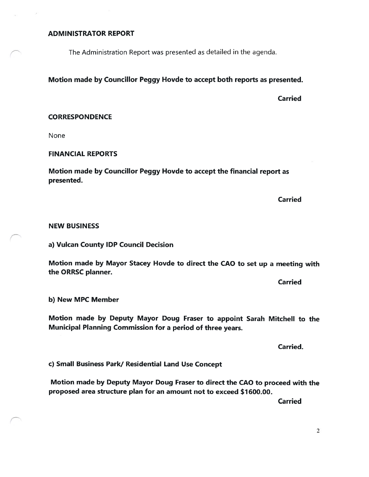#### ADMINISTRATOR REPORT

The Administration Report was presented as detailed in the agenda.

# Motion made by Councillor Peggy Hovde to accept both reports as presented.

Carried

#### **CORRESPONDENCE**

None

#### FINANCIAL REPORTS

Motion made by Councillor Peggy Hovde to accept the financial report as presented.

Carried

#### NEW BUSINESS

a) Vulcan County IDP Council Decision

Motion made by Mayor Stacey Hovde to direct the CAO to set up a meeting with the ORRSC planner.

Carried

b) New MPC Member

Motion made by Deputy Mayor Doug Fraser to appoint Sarah Mitchell to the Municipal Planning Commission for a period of three years.

Carried.

c) Small Business Park/ Residential Land Use Concept

Motion made by Deputy Mayor Doug Fraser to direct the CAO to proceed with the proposed area structure plan for an amount not to exceed \$1600.00.

Carried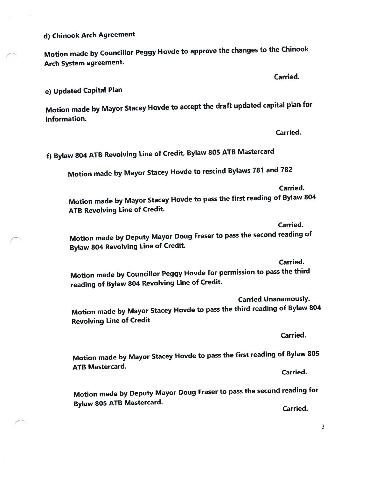d) Chinook Arch Agreement

Motion made by Councillor Peggy Hovde to approve the changes to the Chinook Arch System agreement.

Carried.

e) Updated Capital Plan

Motion made by Mayor Stacey Hovde to accep<sup>t</sup> the draft updated capital <sup>p</sup>lan for information.

Carried.

f) Bylaw <sup>804</sup> ATE Revolving Line of Credit, Bylaw <sup>805</sup> ATE Mastercard

Motion made by Mayor Stacey Hovde to rescind Bylaws <sup>787</sup> and <sup>782</sup>

Carried.

Motion made by Mayor Stacey Hovde to pass the first reading of Bylaw <sup>804</sup> ATB Revolving Line of Credit.

Carried.

Motion made by Deputy Mayor Doug Fraser to pass the second reading of Bylaw <sup>804</sup> Revolving Line of Credit.

Carried.

Motion made by Councillor Peggy Hovde for permission to pass the third reading of Bylaw <sup>804</sup> Revolving Line of Credit.

Carried Unanamously. Motion made by Mayor Stacey Hovde to pass the third reading of Bylaw <sup>804</sup> Revolving Line of Credit

Carried.

Motion made by Mayor Stacey Hovde to pass the first reading of Bylaw <sup>805</sup> ATB Mastercard.

Carried.

Motion made by Deputy Mayor Doug Fraser to pass the second reading for Bylaw <sup>805</sup> ATE Mastercard.

Carried.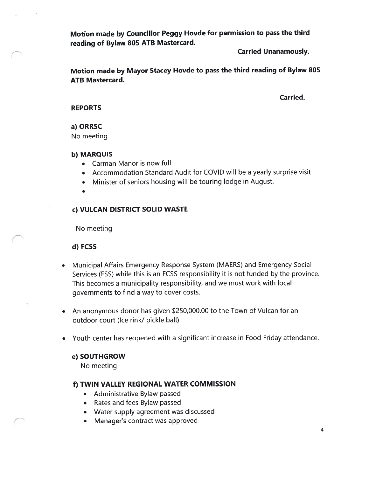Motion made by Councillor Peggy Hovde for permission to pass the third reading of Bylaw 805 ATB Mastercard.

Carried Unanamously.

Motion made by Mayor Stacey Hovde to pass the third reading of Bylaw \$05 ATB Mastercard.

Carried.

#### **REPORTS**

### a) ORRSC

No meeting

#### b) MARQUIS

- Carman Manor is now full
- Accommodation Standard Audit for COVID will be a yearly surprise visit
- Minister of seniors housing will be touring lodge in August.

# c) VULCAN DISTRICT SOLID WASTE

No meeting

### d) FCSS

- Municipal Affairs Emergency Response System (MAERS) and Emergency Social Services (ESS) while this is an FCSS responsibility it is not funded by the province. This becomes a municipality responsibility, and we must work with local governments to find a way to cover costs.
- An anonymous donor has given \$250,000.00 to the Town of Vulcan for an outdoor court (Ice rink/ pickle ball)
- Youth center has reopened with a significant increase in Food Friday attendance.

### e) SOUTHGROW

No meeting

# f) TWIN VALLEY REGIONAL WATER COMMISSION

- Administrative Bylaw passed
- Rates and fees Bylaw passed
- Water supply agreement was discussed
- Manager's contract was approved